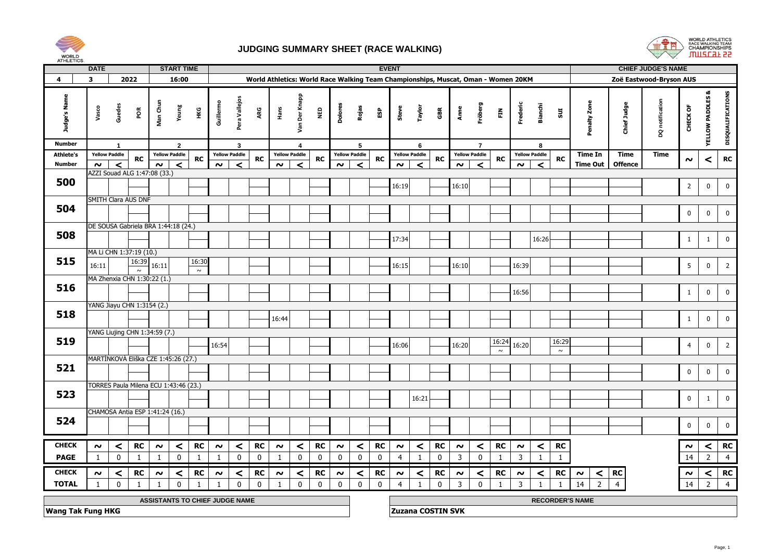



| AI HLE IIUS.                  | <b>DATE</b>                                                                                                                                           |                                       |                 |                     | <b>START TIME</b>     |                 |                     |                               |                                                                                   |                     |                      |             |                     |                      |           | <b>EVENT</b>        |                      |                          |                     |                           |              |                     |                        |              |                      |                | <b>CHIEF JUDGE'S NAME</b> |                     |                             |                   |
|-------------------------------|-------------------------------------------------------------------------------------------------------------------------------------------------------|---------------------------------------|-----------------|---------------------|-----------------------|-----------------|---------------------|-------------------------------|-----------------------------------------------------------------------------------|---------------------|----------------------|-------------|---------------------|----------------------|-----------|---------------------|----------------------|--------------------------|---------------------|---------------------------|--------------|---------------------|------------------------|--------------|----------------------|----------------|---------------------------|---------------------|-----------------------------|-------------------|
| 4                             | 3                                                                                                                                                     |                                       | 2022            |                     | 16:00                 |                 |                     |                               | World Athletics: World Race Walking Team Championships, Muscat, Oman - Women 20KM |                     |                      |             |                     |                      |           |                     |                      |                          |                     |                           |              |                     |                        |              |                      |                | Zoë Eastwood-Bryson AUS   |                     |                             |                   |
| Judge's Name<br><b>Number</b> | Vasco                                                                                                                                                 | Guedes<br>$\mathbf{1}$                | řб              | Man Chun            | Yeung<br>$\mathbf{2}$ | Нĸ              | Guillermo           | Pera Vallejos<br>$\mathbf{3}$ | ARG                                                                               | Hans                | Van Der Knapp<br>4   | <b>Q3M</b>  | Dolores             | Rojas<br>5           | £9        | Steve               | Taylor<br>6          | GBR                      | Anne                | Fröberg<br>$\overline{7}$ | $\tilde{E}$  | Frederic            | <b>Bianchi</b><br>8    | 501          | Penalty Zone         | Chief Judge    | DQ notification           | CHECK OF            | <b>YELLOW PADDLES &amp;</b> | DISQUALIFICATIONS |
| <b>Athlete's</b>              |                                                                                                                                                       | <b>Yellow Paddle</b>                  | <b>RC</b>       |                     | <b>Yellow Paddle</b>  |                 |                     | <b>Yellow Paddle</b>          |                                                                                   |                     | <b>Yellow Paddle</b> |             |                     | <b>Yellow Paddle</b> |           |                     | <b>Yellow Paddle</b> |                          |                     | <b>Yellow Paddle</b>      |              |                     | <b>Yellow Paddle</b>   |              | <b>Time In</b>       | <b>Time</b>    | <b>Time</b>               |                     |                             | ${\sf RC}$        |
| <b>Number</b>                 | $\sim$                                                                                                                                                | $\prec$                               |                 | $\sim$              | $\prec$               | <b>RC</b>       | $\sim$              | $\prec$                       | RC                                                                                | $\sim$              | ≺                    | RC          | $\sim$              | $\prec$              | <b>RC</b> | $\sim$              | $\prec$              | <b>RC</b>                | $\sim$              | $\prec$                   | RC           | $\sim$              | $\prec$                | RC           | <b>Time Out</b>      | <b>Offence</b> |                           | $\sim$              | ≺                           |                   |
| 500                           |                                                                                                                                                       | AZZI Souad ALG 1:47:08 (33.)          |                 |                     |                       |                 |                     |                               |                                                                                   |                     |                      |             |                     |                      |           | 16:19               |                      |                          | 16:10               |                           |              |                     |                        |              |                      |                |                           | $\overline{2}$      | $\mathbf 0$                 | $\mathbf 0$       |
|                               |                                                                                                                                                       | SMITH Clara AUS DNF                   |                 |                     |                       |                 |                     |                               |                                                                                   |                     |                      |             |                     |                      |           |                     |                      |                          |                     |                           |              |                     |                        |              |                      |                |                           |                     |                             |                   |
| 504                           |                                                                                                                                                       |                                       |                 |                     |                       |                 |                     |                               |                                                                                   |                     |                      |             |                     |                      |           |                     |                      |                          |                     |                           |              |                     |                        |              |                      |                |                           | $\mathbf 0$         | $\mathbf 0$                 | $\mathbf 0$       |
|                               |                                                                                                                                                       | DE SOUSA Gabriela BRA 1:44:18 (24.)   |                 |                     |                       |                 |                     |                               |                                                                                   |                     |                      |             |                     |                      |           |                     |                      |                          |                     |                           |              |                     |                        |              |                      |                |                           |                     |                             |                   |
| 508                           |                                                                                                                                                       |                                       |                 |                     |                       |                 |                     |                               |                                                                                   |                     |                      |             |                     |                      |           | 17:34               |                      |                          |                     |                           |              |                     | 16:26                  |              |                      |                |                           | $\mathbf{1}$        | 1                           | $\mathbf 0$       |
|                               |                                                                                                                                                       |                                       |                 |                     |                       |                 |                     |                               |                                                                                   |                     |                      |             |                     |                      |           |                     |                      |                          |                     |                           |              |                     |                        |              |                      |                |                           |                     |                             |                   |
| 515                           |                                                                                                                                                       | MA Li CHN 1:37:19 (10.)               |                 |                     |                       |                 |                     |                               |                                                                                   |                     |                      |             |                     |                      |           |                     |                      |                          |                     |                           |              |                     |                        |              |                      |                |                           |                     |                             |                   |
|                               | 16:11                                                                                                                                                 |                                       | 16:39<br>$\sim$ | 16:11               |                       | 16:30<br>$\sim$ |                     |                               |                                                                                   |                     |                      |             |                     |                      |           | 16:15               |                      |                          | 16:10               |                           |              | 16:39               |                        |              |                      |                |                           | 5                   | $\mathbf 0$                 | $\overline{2}$    |
|                               |                                                                                                                                                       | MA Zhenxia CHN 1:30:22 (1.)           |                 |                     |                       |                 |                     |                               |                                                                                   |                     |                      |             |                     |                      |           |                     |                      |                          |                     |                           |              |                     |                        |              |                      |                |                           |                     |                             |                   |
| 516                           |                                                                                                                                                       |                                       |                 |                     |                       |                 |                     |                               |                                                                                   |                     |                      |             |                     |                      |           |                     |                      |                          |                     |                           |              | 16:56               |                        |              |                      |                |                           | 1                   | $\mathbf 0$                 | $\mathbf 0$       |
|                               |                                                                                                                                                       |                                       |                 |                     |                       |                 |                     |                               |                                                                                   |                     |                      |             |                     |                      |           |                     |                      |                          |                     |                           |              |                     |                        |              |                      |                |                           |                     |                             |                   |
| 518                           | YANG Jiayu CHN 1:3154 (2.)                                                                                                                            |                                       |                 |                     |                       |                 |                     |                               |                                                                                   |                     |                      |             |                     |                      |           |                     |                      |                          |                     |                           |              |                     |                        |              |                      |                |                           |                     |                             |                   |
|                               | 16:44                                                                                                                                                 |                                       |                 |                     |                       |                 |                     |                               |                                                                                   |                     |                      |             |                     |                      |           |                     |                      |                          |                     |                           |              |                     |                        |              |                      |                |                           | $\mathbf{1}$        | $\mathbf 0$                 | $\mathbf 0$       |
|                               |                                                                                                                                                       | YANG Liujing CHN 1:34:59 (7.)         |                 |                     |                       |                 |                     |                               |                                                                                   |                     |                      |             |                     |                      |           |                     |                      |                          |                     |                           |              |                     |                        |              |                      |                |                           |                     |                             |                   |
| 519                           |                                                                                                                                                       |                                       |                 |                     |                       |                 | 16:54               |                               |                                                                                   |                     |                      |             |                     |                      |           | 16:06               |                      |                          | 16:20               |                           | 16:24        | 16:20               |                        | 16:29        |                      |                |                           | $\overline{4}$      | $\mathbf 0$                 | $\overline{2}$    |
|                               |                                                                                                                                                       | MARTÍNKOVÁ Eliška CZE 1:45:26 (27.)   |                 |                     |                       |                 |                     |                               |                                                                                   |                     |                      |             |                     |                      |           |                     |                      |                          |                     |                           | $\sim$       |                     |                        | $\sim$       |                      |                |                           |                     |                             |                   |
| 521                           |                                                                                                                                                       |                                       |                 |                     |                       |                 |                     |                               |                                                                                   |                     |                      |             |                     |                      |           |                     |                      |                          |                     |                           |              |                     |                        |              |                      |                |                           |                     |                             |                   |
|                               |                                                                                                                                                       |                                       |                 |                     |                       |                 |                     |                               |                                                                                   |                     |                      |             |                     |                      |           |                     |                      |                          |                     |                           |              |                     |                        |              |                      |                |                           | $\mathbf 0$         | $\mathbf 0$                 | $\mathbf 0$       |
|                               |                                                                                                                                                       | TORRES Paula Milena ECU 1:43:46 (23.) |                 |                     |                       |                 |                     |                               |                                                                                   |                     |                      |             |                     |                      |           |                     |                      |                          |                     |                           |              |                     |                        |              |                      |                |                           |                     |                             |                   |
| 523                           |                                                                                                                                                       |                                       |                 |                     |                       |                 |                     |                               |                                                                                   |                     |                      |             |                     |                      |           |                     | 16:21                |                          |                     |                           |              |                     |                        |              |                      |                |                           | $\pmb{0}$           | $\mathbf{1}$                | $\mathbf 0$       |
|                               |                                                                                                                                                       | CHAMOSA Antia ESP 1:41:24 (16.)       |                 |                     |                       |                 |                     |                               |                                                                                   |                     |                      |             |                     |                      |           |                     |                      |                          |                     |                           |              |                     |                        |              |                      |                |                           |                     |                             |                   |
| 524                           |                                                                                                                                                       |                                       |                 |                     |                       |                 |                     |                               |                                                                                   |                     |                      |             |                     |                      |           |                     |                      |                          |                     |                           |              |                     |                        |              |                      |                |                           |                     |                             |                   |
|                               |                                                                                                                                                       |                                       |                 |                     |                       |                 |                     |                               |                                                                                   |                     |                      |             |                     |                      |           |                     |                      |                          |                     |                           |              |                     |                        |              |                      |                |                           | $\mathbf{0}$        | $\mathbf 0$                 | $\pmb{0}$         |
| <b>CHECK</b>                  | $\boldsymbol{\sim}$                                                                                                                                   | $\,<$                                 | <b>RC</b>       | $\boldsymbol{\sim}$ | $\prec$               | RC              | $\boldsymbol{\sim}$ | $\,<$                         | <b>RC</b>                                                                         | $\boldsymbol{\sim}$ | $\,<$                | RC          | $\boldsymbol{\sim}$ | $\,<$                | <b>RC</b> | $\boldsymbol{\sim}$ | $\prec$              | RC                       | $\boldsymbol{\sim}$ | $\,<$                     | ${\sf RC}$   | $\boldsymbol{\sim}$ | $\,<$                  | <b>RC</b>    |                      |                |                           | $\boldsymbol{\sim}$ | $\prec$                     | RC                |
| <b>PAGE</b>                   | $\mathbf 0$<br>$\mathbf 0$<br>$\mathbf 0$<br>$\mathbf 0$<br>$\mathbf 0$<br>$\mathbf{1}$<br>$\mathbf 0$<br>$\mathbf{1}$<br>$\mathbf{1}$<br>1<br>1<br>1 |                                       |                 |                     |                       |                 |                     |                               |                                                                                   |                     |                      |             | 0                   | 0                    | 0         | 4                   | 1                    | 0                        | $\mathbf{3}$        | $\mathbf 0$               | $\mathbf{1}$ | $\mathsf{3}$        | 1                      | $\mathbf{1}$ |                      |                |                           | 14                  | $\overline{2}$              | $\overline{4}$    |
| <b>CHECK</b>                  | <b>RC</b><br>RC<br>$\prec$<br>$\prec$<br>RC<br><b>RC</b><br>$\,<$<br>$\sim$<br>$\boldsymbol{\sim}$<br>$\prec$<br>$\sim$<br>$\boldsymbol{\sim}$        |                                       |                 |                     |                       |                 |                     |                               |                                                                                   |                     |                      |             | $\boldsymbol{\sim}$ | $\prec$              | RC        | $\boldsymbol{\sim}$ | $\,<\,$              | RC                       | $\boldsymbol{\sim}$ | ≺                         | ${\sf RC}$   | $\boldsymbol{\sim}$ | $\,<$                  | <b>RC</b>    | $\prec$<br>$\sim$    | RC             |                           | $\sim$              | $\,<$                       | RC                |
| <b>TOTAL</b>                  | 1                                                                                                                                                     | $\pmb{0}$                             | -1              | $\mathbf{1}$        | $\mathbf 0$           | 1               |                     | $\mathbf 0$                   | $\mathbf 0$                                                                       | 1                   | $\mathbf 0$          | $\mathbf 0$ | $\pmb{0}$           | $\mathbf 0$          | $\pmb{0}$ | 4                   | 1                    | $\mathbf 0$              | 3                   | $\pmb{0}$                 | $\mathbf{1}$ | $\overline{3}$      |                        | $\mathbf{1}$ | $\overline{2}$<br>14 | $\overline{4}$ |                           | 14                  | $\overline{2}$              | $\overline{4}$    |
|                               | <b>ASSISTANTS TO CHIEF JUDGE NAME</b>                                                                                                                 |                                       |                 |                     |                       |                 |                     |                               |                                                                                   |                     |                      |             |                     |                      |           |                     |                      |                          |                     |                           |              |                     | <b>RECORDER'S NAME</b> |              |                      |                |                           |                     |                             |                   |
| <b>Wang Tak Fung HKG</b>      |                                                                                                                                                       |                                       |                 |                     |                       |                 |                     |                               |                                                                                   |                     |                      |             |                     |                      |           |                     |                      | <b>Zuzana COSTIN SVK</b> |                     |                           |              |                     |                        |              |                      |                |                           |                     |                             |                   |
|                               |                                                                                                                                                       |                                       |                 |                     |                       |                 |                     |                               |                                                                                   |                     |                      |             |                     |                      |           |                     |                      |                          |                     |                           |              |                     |                        |              |                      |                |                           |                     |                             |                   |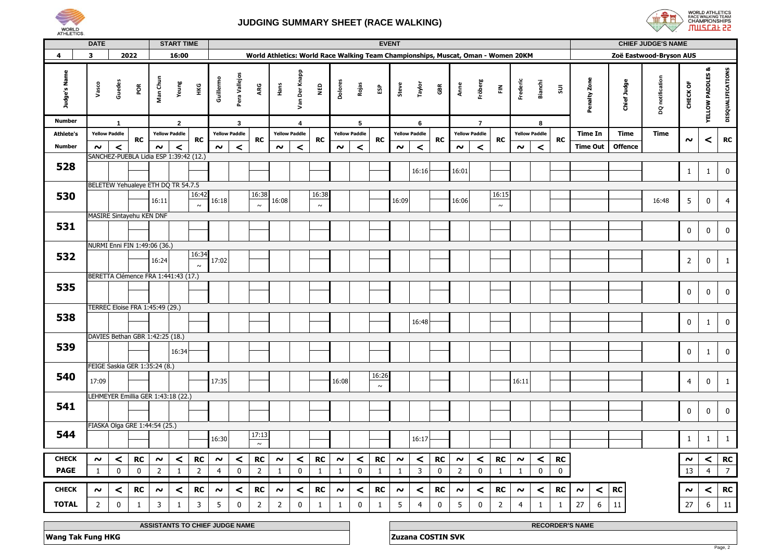



|                         | <b>DATE</b>                        |              |                                        |                     | <b>START TIME</b>    |                |                     |                      |                                                                                   |                      |                         |              |                     |                      | <b>EVENT</b> |                     |                      |             |                     |                      |                |                     |                      |              |                              |                | <b>CHIEF JUDGE'S NAME</b> |                     |                             |                   |
|-------------------------|------------------------------------|--------------|----------------------------------------|---------------------|----------------------|----------------|---------------------|----------------------|-----------------------------------------------------------------------------------|----------------------|-------------------------|--------------|---------------------|----------------------|--------------|---------------------|----------------------|-------------|---------------------|----------------------|----------------|---------------------|----------------------|--------------|------------------------------|----------------|---------------------------|---------------------|-----------------------------|-------------------|
| $\overline{\mathbf{4}}$ | 3                                  |              | 2022                                   |                     | 16:00                |                |                     |                      | World Athletics: World Race Walking Team Championships, Muscat, Oman - Women 20KM |                      |                         |              |                     |                      |              |                     |                      |             |                     |                      |                |                     |                      |              |                              |                | Zoë Eastwood-Bryson AUS   |                     |                             |                   |
| Judge's Name            | Vasco                              | Guedes       | ΡÕ                                     | Man Chun            | Yeung                | ĚЯ             | Guillermo           | Pera Vallejos        | ARG                                                                               | Hans                 | Van Der Knapp           | NED          | Dolores             | Rojas                | និ           | Steve               | Taylor               | GBR         | Anne                | Fröberg              | 즢              | Frederic            | Bianchi              | $\Xi$        | Penalty Zone                 | Chief Judge    | DQ notification           | CHECK OF            | <b>YELLOW PADDLES &amp;</b> | DISQUALIFICATIONS |
| <b>Number</b>           |                                    | $\mathbf{1}$ |                                        |                     | $\mathbf{2}$         |                |                     | $\overline{3}$       |                                                                                   |                      | $\overline{\mathbf{4}}$ |              |                     | 5                    |              |                     | 6                    |             |                     | $\overline{7}$       |                |                     | 8                    |              |                              |                |                           |                     |                             |                   |
| <b>Athlete's</b>        | <b>Yellow Paddle</b>               |              | <b>RC</b>                              |                     | <b>Yellow Paddle</b> | <b>RC</b>      |                     | <b>Yellow Paddle</b> | RC                                                                                | <b>Yellow Paddle</b> |                         | <b>RC</b>    |                     | <b>Yellow Paddle</b> | <b>RC</b>    |                     | <b>Yellow Paddle</b> | <b>RC</b>   |                     | <b>Yellow Paddle</b> | RC             |                     | <b>Yellow Paddle</b> | <b>RC</b>    | <b>Time In</b>               | <b>Time</b>    | <b>Time</b>               | $\sim$              | ≺                           | ${\sf RC}$        |
| Number                  | $\sim$                             | $\prec$      |                                        | $\boldsymbol{\sim}$ | $\prec$              |                | $\sim$              | $\prec$              |                                                                                   | $\sim$               | $\prec$                 |              | $\boldsymbol{\sim}$ | $\prec$              |              | $\boldsymbol{\sim}$ | $\prec$              |             | $\boldsymbol{\sim}$ | ≺                    |                | $\sim$              | $\prec$              |              | <b>Time Out</b>              | <b>Offence</b> |                           |                     |                             |                   |
|                         |                                    |              | SANCHEZ-PUEBLA Lidia ESP 1:39:42 (12.) |                     |                      |                |                     |                      |                                                                                   |                      |                         |              |                     |                      |              |                     |                      |             |                     |                      |                |                     |                      |              |                              |                |                           |                     |                             |                   |
| 528                     |                                    |              |                                        |                     |                      |                |                     |                      |                                                                                   |                      |                         |              |                     |                      |              |                     | 16:16                |             | 16:01               |                      |                |                     |                      |              |                              |                |                           | $\mathbf{1}$        | $\mathbf{1}$                | $\pmb{0}$         |
|                         | BELETEW Yehualeye ETH DQ TR 54.7.5 |              |                                        |                     |                      |                |                     |                      |                                                                                   |                      |                         |              |                     |                      |              |                     |                      |             |                     |                      |                |                     |                      |              |                              |                |                           |                     |                             |                   |
| 530                     |                                    |              |                                        |                     |                      | 16:42          |                     |                      | 16:38                                                                             |                      |                         | 16:38        |                     |                      |              |                     |                      |             |                     |                      | 16:15          |                     |                      |              |                              |                |                           |                     |                             |                   |
|                         |                                    |              |                                        | 16:11               |                      | $\sim$         | 16:18               |                      | $\sim$                                                                            | 16:08                |                         | $\sim$       |                     |                      |              | 16:09               |                      |             | 16:06               |                      | $\sim$         |                     |                      |              |                              |                | 16:48                     | 5                   | 0                           | $\overline{4}$    |
|                         |                                    |              | MASIRE Sintayehu KEN DNF               |                     |                      |                |                     |                      |                                                                                   |                      |                         |              |                     |                      |              |                     |                      |             |                     |                      |                |                     |                      |              |                              |                |                           |                     |                             |                   |
| 531                     |                                    |              |                                        |                     |                      |                |                     |                      |                                                                                   |                      |                         |              |                     |                      |              |                     |                      |             |                     |                      |                |                     |                      |              |                              |                |                           | 0                   | 0                           | $\pmb{0}$         |
|                         | NURMI Enni FIN 1:49:06 (36.)       |              |                                        |                     |                      |                |                     |                      |                                                                                   |                      |                         |              |                     |                      |              |                     |                      |             |                     |                      |                |                     |                      |              |                              |                |                           |                     |                             |                   |
| 532                     |                                    |              |                                        | 16:24               |                      | 16:34          | 17:02               |                      |                                                                                   |                      |                         |              |                     |                      |              |                     |                      |             |                     |                      |                |                     |                      |              |                              |                |                           | $\overline{2}$      | $\pmb{0}$                   | $\mathbf{1}$      |
|                         |                                    |              |                                        |                     |                      |                |                     |                      |                                                                                   |                      |                         |              |                     |                      |              |                     |                      |             |                     |                      |                |                     |                      |              |                              |                |                           |                     |                             |                   |
|                         |                                    |              | BERETTA Clémence FRA 1:441:43 (17.)    |                     |                      |                |                     |                      |                                                                                   |                      |                         |              |                     |                      |              |                     |                      |             |                     |                      |                |                     |                      |              |                              |                |                           |                     |                             |                   |
| 535                     |                                    |              |                                        |                     |                      |                |                     |                      |                                                                                   |                      |                         |              |                     |                      |              |                     |                      |             |                     |                      |                |                     |                      |              |                              |                |                           | 0                   | 0                           | $\pmb{0}$         |
|                         |                                    |              | TERREC Eloise FRA 1:45:49 (29.)        |                     |                      |                |                     |                      |                                                                                   |                      |                         |              |                     |                      |              |                     |                      |             |                     |                      |                |                     |                      |              |                              |                |                           |                     |                             |                   |
| 538                     |                                    |              |                                        |                     |                      |                |                     |                      |                                                                                   |                      |                         |              |                     |                      |              |                     |                      |             |                     |                      |                |                     |                      |              |                              |                |                           |                     |                             |                   |
|                         |                                    |              |                                        |                     |                      |                |                     |                      |                                                                                   |                      |                         |              |                     |                      |              |                     | 16:48                |             |                     |                      |                |                     |                      |              |                              |                |                           | 0                   | $\mathbf{1}$                | $\bf{0}$          |
|                         | DAVIES Bethan GBR 1:42:25 (18.)    |              |                                        |                     |                      |                |                     |                      |                                                                                   |                      |                         |              |                     |                      |              |                     |                      |             |                     |                      |                |                     |                      |              |                              |                |                           |                     |                             |                   |
| 539                     |                                    |              |                                        |                     | 16:34                |                |                     |                      |                                                                                   |                      |                         |              |                     |                      |              |                     |                      |             |                     |                      |                |                     |                      |              |                              |                |                           | 0                   | $\mathbf{1}$                | $\pmb{0}$         |
|                         | FEIGE Saskia GER 1:35:24 (8.)      |              |                                        |                     |                      |                |                     |                      |                                                                                   |                      |                         |              |                     |                      |              |                     |                      |             |                     |                      |                |                     |                      |              |                              |                |                           |                     |                             |                   |
| 540                     | 17:09                              |              |                                        |                     |                      |                | 17:35               |                      |                                                                                   |                      |                         |              | 16:08               |                      | 16:26        |                     |                      |             |                     |                      |                | 16:11               |                      |              |                              |                |                           | $\overline{4}$      | $\pmb{0}$                   | $\mathbf 1$       |
|                         |                                    |              |                                        |                     |                      |                |                     |                      |                                                                                   |                      |                         |              |                     |                      | $\sim$       |                     |                      |             |                     |                      |                |                     |                      |              |                              |                |                           |                     |                             |                   |
| 541                     |                                    |              | LEHMEYER Emillia GER 1:43:18 (22.)     |                     |                      |                |                     |                      |                                                                                   |                      |                         |              |                     |                      |              |                     |                      |             |                     |                      |                |                     |                      |              |                              |                |                           |                     |                             |                   |
|                         |                                    |              |                                        |                     |                      |                |                     |                      |                                                                                   |                      |                         |              |                     |                      |              |                     |                      |             |                     |                      |                |                     |                      |              |                              |                |                           | $\mathbf 0$         | 0                           | $\pmb{0}$         |
|                         |                                    |              | FIASKA Olga GRE 1:44:54 (25.)          |                     |                      |                |                     |                      |                                                                                   |                      |                         |              |                     |                      |              |                     |                      |             |                     |                      |                |                     |                      |              |                              |                |                           |                     |                             |                   |
| 544                     |                                    |              |                                        |                     |                      |                | 16:30               |                      | 17:13                                                                             |                      |                         |              |                     |                      |              |                     | 16:17                |             |                     |                      |                |                     |                      |              |                              |                |                           | $\mathbf{1}$        | $1\,$                       | $\mathbf{1}$      |
|                         |                                    |              |                                        |                     |                      |                |                     |                      | $\sim$                                                                            |                      |                         |              |                     |                      |              |                     |                      |             |                     |                      |                |                     |                      |              |                              |                |                           |                     |                             |                   |
| <b>CHECK</b>            | $\sim$                             | ≺            | <b>RC</b>                              | $\sim$              | $\prec$              | <b>RC</b>      | $\sim$              | $\prec$              | <b>RC</b>                                                                         | $\sim$               | $\prec$                 | <b>RC</b>    | $\sim$              | $\prec$              | <b>RC</b>    | $\sim$              | $\,<\,$              | <b>RC</b>   | $\sim$              | $\prec$              | <b>RC</b>      | $\sim$              | <                    | ${\sf RC}$   |                              |                |                           | $\boldsymbol{\sim}$ | $\prec$                     | ${\sf RC}$        |
| <b>PAGE</b>             | $\mathbf{1}$                       | $\pmb{0}$    | $\mathbf 0$                            | $\overline{2}$      | 1                    | $\overline{2}$ | 4                   | $\mathbf 0$          | $\overline{2}$                                                                    | $\mathbf{1}$         | $\mathbf 0$             | $\mathbf{1}$ | $\mathbf{1}$        | $\mathbf 0$          | $\mathbf{1}$ | $\mathbf{1}$        | $\overline{3}$       | $\mathbf 0$ | $\overline{2}$      | $\mathbf 0$          | $\mathbf{1}$   | $\mathbf{1}$        | $\mathbf 0$          | $\pmb{0}$    |                              |                |                           | 13                  | $\overline{4}$              | $\overline{7}$    |
| <b>CHECK</b>            | $\boldsymbol{\sim}$                | <            | <b>RC</b>                              | $\boldsymbol{\sim}$ | $\prec$              | <b>RC</b>      | $\boldsymbol{\sim}$ | $\prec$              | <b>RC</b>                                                                         | $\boldsymbol{\sim}$  | $\prec$                 | RC           | $\boldsymbol{\sim}$ | $\prec$              | ${\sf RC}$   | $\boldsymbol{\sim}$ | $\,<\,$              | RC          | $\boldsymbol{\sim}$ | ≺                    | <b>RC</b>      | $\boldsymbol{\sim}$ | <                    | <b>RC</b>    | $\,<$<br>$\boldsymbol{\sim}$ | RC             |                           | $\boldsymbol{\sim}$ | <                           | ${\sf RC}$        |
| <b>TOTAL</b>            | $2^{\circ}$                        | $\mathbf 0$  | $\mathbf{1}$                           | 3                   | 1                    | 3              | 5                   | $\mathbf 0$          | $\overline{2}$                                                                    | $\overline{2}$       | 0                       | $\mathbf{1}$ |                     | 0                    | $\mathbf{1}$ | 5                   | $\overline{4}$       | 0           | 5                   | $\mathbf 0$          |                | 4                   | $\mathbf{1}$         | $\mathbf{1}$ | 27<br>6                      | 11             |                           | 27                  | $\boldsymbol{6}$            | $11\,$            |
|                         |                                    |              |                                        |                     |                      |                |                     |                      |                                                                                   |                      |                         |              | 1                   |                      |              |                     |                      |             |                     |                      | $\overline{2}$ |                     |                      |              |                              |                |                           |                     |                             |                   |

| E NAME<br>. L.HI<br>лы                | <b>NIARAT</b><br>RE<br><b>A J NAME</b><br>the company's company's company's company's |
|---------------------------------------|---------------------------------------------------------------------------------------|
| Fung HKG<br>.<br>l wand<br>lak<br>. . | <b>SVI</b><br>-711°<br>ana                                                            |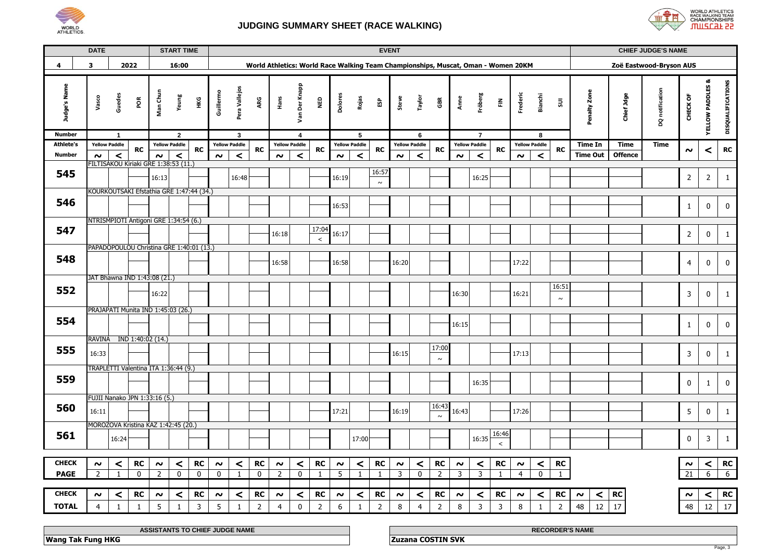



|                                   | <b>DATE</b>         |                                          |                   |                     | <b>START TIME</b>                      |             |                     |                                      |                |                      |               |                |                     |                                         |                 | <b>EVENT</b>   |                           |                                                                                   |                     |                                        |                |                |                           |                 |                   |                | <b>CHIEF JUDGE'S NAME</b> |                 |                            |                   |
|-----------------------------------|---------------------|------------------------------------------|-------------------|---------------------|----------------------------------------|-------------|---------------------|--------------------------------------|----------------|----------------------|---------------|----------------|---------------------|-----------------------------------------|-----------------|----------------|---------------------------|-----------------------------------------------------------------------------------|---------------------|----------------------------------------|----------------|----------------|---------------------------|-----------------|-------------------|----------------|---------------------------|-----------------|----------------------------|-------------------|
| 4                                 | 3                   |                                          | 2022              |                     | 16:00                                  |             |                     |                                      |                |                      |               |                |                     |                                         |                 |                |                           | World Athletics: World Race Walking Team Championships, Muscat, Oman - Women 20KM |                     |                                        |                |                |                           |                 |                   |                | Zoë Eastwood-Bryson AUS   |                 |                            |                   |
| Judge's Name                      | Vasco               | Guedes                                   | por               | Man Chun            | Yeung                                  | НKG         | Guillermo           | Pera Vallejos                        | ARG            | Hans                 | Van Der Knapp | ê              | Dolores             | Rojas                                   | និ              | Steve          | Taylor                    | GBR                                                                               | Anne                | Fröberg                                | 즢              | Frederic       | Bianchi                   | $\Xi$           | Penalty Zone      | Chief Jdge     | DQ notification           | CHECK OF        | ಹ<br><b>YELLOW PADDLES</b> | DISQUALIFICATIONS |
| <b>Number</b><br><b>Athlete's</b> |                     | $\overline{1}$<br><b>Yellow Paddle</b>   |                   |                     | $\overline{2}$<br><b>Yellow Paddle</b> |             |                     | $\mathbf{3}$<br><b>Yellow Paddle</b> |                | <b>Yellow Paddle</b> | 4             |                |                     | $5\phantom{.0}$<br><b>Yellow Paddle</b> |                 |                | 6<br><b>Yellow Paddle</b> |                                                                                   |                     | $\overline{7}$<br><b>Yellow Paddle</b> |                |                | 8<br><b>Yellow Paddle</b> |                 | <b>Time In</b>    | <b>Time</b>    | <b>Time</b>               |                 |                            |                   |
| <b>Number</b>                     | $\sim$              | $\prec$                                  | <b>RC</b>         | $\boldsymbol{\sim}$ | $\prec$                                | <b>RC</b>   | $\boldsymbol{\sim}$ | $\prec$                              | <b>RC</b>      | $\sim$               | $\prec$       | <b>RC</b>      | $\boldsymbol{\sim}$ | $\prec$                                 | RC              | $\sim$         | $\,<$                     | <b>RC</b>                                                                         | $\sim$              | $\prec$                                | <b>RC</b>      | $\sim$         | $\prec$                   | <b>RC</b>       | <b>Time Out</b>   | <b>Offence</b> |                           | $\sim$          | ≺                          | RC                |
| 545                               |                     | FILTISAKOU Kiriaki GRE 1:38:53 (11.)     |                   | 16:13               |                                        |             |                     | 16:48                                |                |                      |               |                | 16:19               |                                         | 16:57<br>$\sim$ |                |                           |                                                                                   |                     | 16:25                                  |                |                |                           |                 |                   |                |                           | $\mathbf 2$     | $\overline{2}$             | $\mathbf{1}$      |
|                                   |                     | KOURKOUTSAKI Efstathia GRE 1:47:44 (34.) |                   |                     |                                        |             |                     |                                      |                |                      |               |                |                     |                                         |                 |                |                           |                                                                                   |                     |                                        |                |                |                           |                 |                   |                |                           |                 |                            |                   |
| 546                               |                     |                                          |                   |                     |                                        |             |                     |                                      |                |                      |               |                | 16:53               |                                         |                 |                |                           |                                                                                   |                     |                                        |                |                |                           |                 |                   |                |                           | $\mathbf{1}$    | 0                          | 0                 |
| 547                               |                     | NTRISMPIOTI Antigoni GRE 1:34:54 (6.)    |                   |                     |                                        |             |                     |                                      |                |                      |               | 17:04          |                     |                                         |                 |                |                           |                                                                                   |                     |                                        |                |                |                           |                 |                   |                |                           |                 |                            |                   |
|                                   |                     |                                          |                   |                     |                                        |             |                     |                                      |                | 16:18                |               | $\,<$          | 16:17               |                                         |                 |                |                           |                                                                                   |                     |                                        |                |                |                           |                 |                   |                |                           | $\overline{2}$  | 0                          | $\mathbf{1}$      |
|                                   |                     | PAPADOPOULOU Christina GRE 1:40:01 (13.) |                   |                     |                                        |             |                     |                                      |                |                      |               |                |                     |                                         |                 |                |                           |                                                                                   |                     |                                        |                |                |                           |                 |                   |                |                           |                 |                            |                   |
| 548                               |                     |                                          |                   |                     |                                        |             |                     |                                      |                | 16:58                |               |                | 16:58               |                                         |                 | 16:20          |                           |                                                                                   |                     |                                        |                | 17:22          |                           |                 |                   |                |                           | $\overline{4}$  | 0                          | $\mathbf 0$       |
|                                   |                     | JAT Bhawna IND 1:43:08 (21.)             |                   |                     |                                        |             |                     |                                      |                |                      |               |                |                     |                                         |                 |                |                           |                                                                                   |                     |                                        |                |                |                           |                 |                   |                |                           |                 |                            |                   |
| 552                               |                     |                                          |                   | 16:22               |                                        |             |                     |                                      |                |                      |               |                |                     |                                         |                 |                |                           |                                                                                   | 16:30               |                                        |                | 16:21          |                           | 16:51<br>$\sim$ |                   |                |                           | 3               | 0                          | $\mathbf{1}$      |
|                                   |                     | PRAJAPATI Munita IND 1:45:03 (26.)       |                   |                     |                                        |             |                     |                                      |                |                      |               |                |                     |                                         |                 |                |                           |                                                                                   |                     |                                        |                |                |                           |                 |                   |                |                           |                 |                            |                   |
| 554                               |                     |                                          |                   |                     |                                        |             |                     |                                      |                |                      |               |                |                     |                                         |                 |                |                           |                                                                                   | 16:15               |                                        |                |                |                           |                 |                   |                |                           | $\mathbf{1}$    | 0                          | $\mathbf 0$       |
|                                   | RAVINA              |                                          | IND 1:40:02 (14.) |                     |                                        |             |                     |                                      |                |                      |               |                |                     |                                         |                 |                |                           | 17:00                                                                             |                     |                                        |                |                |                           |                 |                   |                |                           |                 |                            |                   |
| 555                               | 16:33               |                                          |                   |                     |                                        |             |                     |                                      |                |                      |               |                |                     |                                         |                 | 16:15          |                           | $\sim$                                                                            |                     |                                        |                | 17:13          |                           |                 |                   |                |                           | 3               | 0                          | $\mathbf{1}$      |
|                                   |                     | TRAPLETTI Valentina ITA 1:36:44 (9.)     |                   |                     |                                        |             |                     |                                      |                |                      |               |                |                     |                                         |                 |                |                           |                                                                                   |                     |                                        |                |                |                           |                 |                   |                |                           |                 |                            |                   |
| 559                               |                     |                                          |                   |                     |                                        |             |                     |                                      |                |                      |               |                |                     |                                         |                 |                |                           |                                                                                   |                     | 16:35                                  |                |                |                           |                 |                   |                |                           | 0               | $\mathbf{1}$               | $\mathbf 0$       |
|                                   |                     |                                          |                   |                     |                                        |             |                     |                                      |                |                      |               |                |                     |                                         |                 |                |                           |                                                                                   |                     |                                        |                |                |                           |                 |                   |                |                           |                 |                            |                   |
| 560                               |                     | FUJII Nanako JPN 1:33:16 (5.)            |                   |                     |                                        |             |                     |                                      |                |                      |               |                |                     |                                         |                 |                |                           | 16:43                                                                             |                     |                                        |                |                |                           |                 |                   |                |                           |                 |                            |                   |
|                                   | 16:11               |                                          |                   |                     |                                        |             |                     |                                      |                |                      |               |                | 17:21               |                                         |                 | 16:19          |                           | $\sim$                                                                            | 16:43               |                                        |                | 17:26          |                           |                 |                   |                |                           | 5               | 0                          | $\mathbf{1}$      |
|                                   |                     | MOROZOVA Kristina KAZ 1:42:45 (20.)      |                   |                     |                                        |             |                     |                                      |                |                      |               |                |                     |                                         |                 |                |                           |                                                                                   |                     |                                        |                |                |                           |                 |                   |                |                           |                 |                            |                   |
| 561                               |                     | 16:24                                    |                   |                     |                                        |             |                     |                                      |                |                      |               |                |                     | 17:00                                   |                 |                |                           |                                                                                   |                     | 16:35                                  | 16:46<br>$\,<$ |                |                           |                 |                   |                |                           | $\mathbf 0$     | 3                          | $\mathbf{1}$      |
|                                   |                     |                                          |                   |                     |                                        |             |                     |                                      |                |                      |               |                |                     |                                         |                 |                |                           |                                                                                   |                     |                                        |                |                |                           |                 |                   |                |                           |                 |                            |                   |
| <b>CHECK</b>                      | $\sim$              | $\,<$                                    | <b>RC</b>         | $\boldsymbol{\sim}$ | ≺                                      | <b>RC</b>   | $\boldsymbol{\sim}$ | $\,<$                                | <b>RC</b>      | $\boldsymbol{\sim}$  | $\prec$       | <b>RC</b>      | $\sim$              | ≺                                       | <b>RC</b>       | $\sim$         | $\,<$                     | RC                                                                                | $\boldsymbol{\sim}$ | $\,<$                                  | <b>RC</b>      | $\sim$         | $\,<$                     | RC              |                   |                |                           | $\sim$          | $\,<$                      | RC                |
| <b>PAGE</b>                       | $\overline{2}$      | $\mathbf{1}$                             | $\mathbf 0$       | $\overline{2}$      | $\mathbf 0$                            | $\mathbf 0$ | 0                   | $\mathbf{1}$                         | $\mathbf 0$    | $\overline{2}$       | $\mathbf 0$   | $\mathbf{1}$   | 5                   | $\mathbf{1}$                            | $\mathbf{1}$    | $\overline{3}$ | $\mathbf 0$               | $\overline{2}$                                                                    | $\overline{3}$      | 3                                      | $\mathbf{1}$   | $\overline{4}$ | $\mathbf 0$               | $\mathbf{1}$    |                   |                |                           | $\overline{21}$ | 6                          | $6\overline{6}$   |
|                                   |                     |                                          |                   |                     |                                        |             |                     |                                      |                |                      |               |                |                     |                                         |                 |                |                           |                                                                                   |                     |                                        |                |                |                           |                 |                   |                |                           |                 |                            |                   |
| <b>CHECK</b>                      | $\boldsymbol{\sim}$ | ≺                                        | <b>RC</b>         | $\boldsymbol{\sim}$ | ≺                                      | RC          | $\boldsymbol{\sim}$ | <                                    | <b>RC</b>      | $\sim$               | ≺             | RC             | $\sim$              | ≺                                       | RC              | $\sim$         | ≺                         | <b>RC</b>                                                                         | $\sim$              | $\prec$                                | RC             | $\sim$         | $\prec$                   | RC              | $\prec$<br>$\sim$ | RC             |                           | $\sim$          | $\prec$                    | RC                |
| <b>TOTAL</b>                      | $\overline{4}$      | $1\,$                                    | $1\,$             | 5                   | $\mathbf{1}$                           | 3           | 5                   | $\mathbf{1}$                         | $\overline{2}$ | $\overline{4}$       | $\mathbf 0$   | $\overline{2}$ | 6                   | $\mathbf{1}$                            | $\overline{2}$  | 8              | 4                         | $\overline{2}$                                                                    | 8                   | 3                                      | 3              | 8              | $\mathbf{1}$              | $\mathbf 2$     | $12\,$<br>48      | 17             |                           | 48              | $12\,$                     | 17                |

| <b>JUDGE NAME</b><br><b>ASSIS</b>      | --- -----<br><b>RECORDER'S NAME</b> |
|----------------------------------------|-------------------------------------|
| <br><b>Wan</b><br>unc<br>. IKU -<br>ан | .<br>5VI                            |
|                                        |                                     |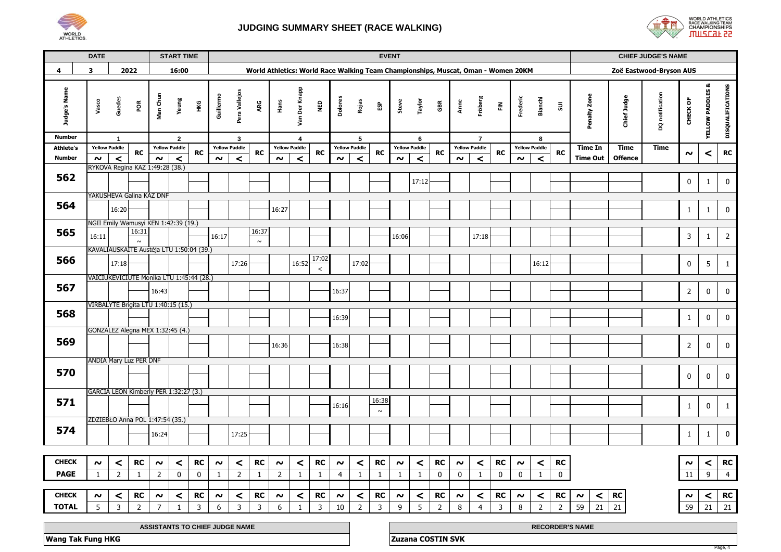



|                               | <b>DATE</b>                                                                                                                  |                                          |                 |                     | <b>START TIME</b>     |              |                     |                               |                 |                     |                      |              |                     |                      |                 | <b>EVENT</b>        |                      |                          |                     |                                                                                   |               |                     |                      |                |                        |                | <b>CHIEF JUDGE'S NAME</b> |                     |                             |                   |
|-------------------------------|------------------------------------------------------------------------------------------------------------------------------|------------------------------------------|-----------------|---------------------|-----------------------|--------------|---------------------|-------------------------------|-----------------|---------------------|----------------------|--------------|---------------------|----------------------|-----------------|---------------------|----------------------|--------------------------|---------------------|-----------------------------------------------------------------------------------|---------------|---------------------|----------------------|----------------|------------------------|----------------|---------------------------|---------------------|-----------------------------|-------------------|
| 4                             | 3                                                                                                                            |                                          | 2022            |                     | 16:00                 |              |                     |                               |                 |                     |                      |              |                     |                      |                 |                     |                      |                          |                     | World Athletics: World Race Walking Team Championships, Muscat, Oman - Women 20KM |               |                     |                      |                |                        |                | Zoë Eastwood-Bryson AUS   |                     |                             |                   |
| Judge's Name<br><b>Number</b> | Vasco                                                                                                                        | Guedes<br>$\overline{1}$                 | por             | Man Chun            | Yeung<br>$\mathbf{2}$ | ¥Θ           | Guillermo           | Pera Vallejos<br>$\mathbf{3}$ | ARG             | Hans                | Van Der Knapp<br>4   | Qav          | <b>Dolores</b>      | Rojas<br>5           | និ              | Steve               | Taylor<br>6          | ã                        | Anne                | Fröberg<br>$\overline{7}$                                                         | $\tilde{\Xi}$ | Frederic            | Bianchi<br>8         | $\Xi$          | Penalty Zone           | Chief Judge    | DQ notification           | CHECK OF            | <b>YELLOW PADDLES &amp;</b> | DISQUALIFICATIONS |
| <b>Athlete's</b>              |                                                                                                                              | <b>Yellow Paddle</b>                     |                 |                     | <b>Yellow Paddle</b>  |              |                     | <b>Yellow Paddle</b>          |                 |                     | <b>Yellow Paddle</b> |              |                     | <b>Yellow Paddle</b> |                 |                     | <b>Yellow Paddle</b> |                          |                     | <b>Yellow Paddle</b>                                                              |               |                     | <b>Yellow Paddle</b> |                | <b>Time In</b>         | Time           | <b>Time</b>               |                     |                             |                   |
| <b>Number</b>                 | $\sim$                                                                                                                       | $\,<$                                    | RC              | $\boldsymbol{\sim}$ | $\prec$               | <b>RC</b>    | $\sim$              | $\prec$                       | <b>RC</b>       | $\boldsymbol{\sim}$ | $\prec$              | <b>RC</b>    | $\boldsymbol{\sim}$ | $\,<$                | RC              | $\boldsymbol{\sim}$ | $\prec$              | <b>RC</b>                | $\boldsymbol{\sim}$ | $\,<$                                                                             | <b>RC</b>     | $\sim$              | $\prec$              | <b>RC</b>      | <b>Time Out</b>        | <b>Offence</b> |                           | $\boldsymbol{\sim}$ | ≺                           | RC                |
| 562                           | RYKOVA Regina KAZ 1:49:28 (38.)                                                                                              |                                          |                 |                     |                       |              |                     |                               |                 |                     |                      |              |                     |                      |                 |                     | 17:12                |                          |                     |                                                                                   |               |                     |                      |                |                        |                |                           | 0                   | $\mathbf{1}$                | 0                 |
|                               | YAKUSHEVA Galina KAZ DNF                                                                                                     |                                          |                 |                     |                       |              |                     |                               |                 |                     |                      |              |                     |                      |                 |                     |                      |                          |                     |                                                                                   |               |                     |                      |                |                        |                |                           |                     |                             |                   |
| 564                           |                                                                                                                              | 16:20                                    |                 |                     |                       |              |                     |                               |                 | 16:27               |                      |              |                     |                      |                 |                     |                      |                          |                     |                                                                                   |               |                     |                      |                |                        |                |                           | $\mathbf{1}$        | 1                           | 0                 |
|                               | NGII Emily Wamusyi KEN 1:42:39 (19.)                                                                                         |                                          |                 |                     |                       |              |                     |                               |                 |                     |                      |              |                     |                      |                 |                     |                      |                          |                     |                                                                                   |               |                     |                      |                |                        |                |                           |                     |                             |                   |
| 565                           | 16:11                                                                                                                        |                                          | 16:31<br>$\sim$ |                     |                       |              | 16:17               |                               | 16:37<br>$\sim$ |                     |                      |              |                     |                      |                 | 16:06               |                      |                          |                     | 17:18                                                                             |               |                     |                      |                |                        |                |                           | 3                   | 1                           | $\overline{2}$    |
| 566                           |                                                                                                                              | KAVALIAUSKAITE Austėja LTU 1:50:04 (39.) |                 |                     |                       |              |                     |                               |                 |                     |                      | 17:02        |                     |                      |                 |                     |                      |                          |                     |                                                                                   |               |                     |                      |                |                        |                |                           |                     |                             |                   |
|                               |                                                                                                                              | 17:18                                    |                 |                     |                       |              |                     | 17:26                         |                 |                     | 16:52                | $\,<$        |                     | 17:02                |                 |                     |                      |                          |                     |                                                                                   |               |                     | 16:12                |                |                        |                |                           | $\mathbf 0$         | 5                           | $\mathbf{1}$      |
| 567                           | VAICIUKEVIČIŪTĖ Monika LTU 1:45:44 (28.)<br>16:43                                                                            |                                          |                 |                     |                       |              |                     |                               |                 |                     |                      |              |                     |                      |                 |                     |                      |                          |                     |                                                                                   |               |                     |                      |                |                        |                |                           | $\overline{2}$      | 0                           | 0                 |
|                               | VIRBALYTE Brigita LTU 1:40:15 (15.)                                                                                          |                                          |                 |                     |                       |              |                     |                               |                 |                     |                      |              |                     |                      |                 |                     |                      |                          |                     |                                                                                   |               |                     |                      |                |                        |                |                           |                     |                             |                   |
| 568                           | GONZALEZ Alegna MEX 1:32:45 (4.)                                                                                             |                                          |                 |                     |                       |              |                     |                               |                 |                     |                      |              |                     | 16:39                |                 |                     |                      |                          |                     |                                                                                   |               |                     |                      |                |                        |                |                           | $\mathbf{1}$        | 0                           | 0                 |
| 569                           | 16:36                                                                                                                        |                                          |                 |                     |                       |              |                     |                               |                 |                     |                      |              | 16:38               |                      |                 |                     |                      |                          |                     |                                                                                   |               |                     |                      |                |                        |                |                           | $\overline{2}$      | 0                           | 0                 |
|                               | <b>ANDIA Mary Luz PER DNF</b>                                                                                                |                                          |                 |                     |                       |              |                     |                               |                 |                     |                      |              |                     |                      |                 |                     |                      |                          |                     |                                                                                   |               |                     |                      |                |                        |                |                           |                     |                             |                   |
| 570                           |                                                                                                                              |                                          |                 |                     |                       |              |                     |                               |                 |                     |                      |              |                     |                      |                 |                     |                      |                          |                     |                                                                                   |               |                     |                      |                |                        |                |                           | 0                   | 0                           | $\mathbf 0$       |
|                               | GARCIA LEON Kimberly PER 1:32:27 (3.)                                                                                        |                                          |                 |                     |                       |              |                     |                               |                 |                     |                      |              |                     |                      |                 |                     |                      |                          |                     |                                                                                   |               |                     |                      |                |                        |                |                           |                     |                             |                   |
| 571                           |                                                                                                                              |                                          |                 |                     |                       |              |                     |                               |                 |                     |                      |              | 16:16               |                      | 16:38<br>$\sim$ |                     |                      |                          |                     |                                                                                   |               |                     |                      |                |                        |                |                           | 1                   | 0                           | 1                 |
|                               |                                                                                                                              |                                          |                 |                     |                       |              |                     |                               |                 |                     |                      |              |                     |                      |                 |                     |                      |                          |                     |                                                                                   |               |                     |                      |                |                        |                |                           |                     |                             |                   |
| 574                           | ZDZIEBŁO Anna POL 1:47:54 (35.)<br>16:24<br>17:25                                                                            |                                          |                 |                     |                       |              |                     |                               |                 |                     |                      |              |                     |                      |                 |                     |                      |                          |                     |                                                                                   |               |                     |                      |                |                        |                |                           | 1                   | 1                           | 0                 |
| <b>CHECK</b>                  | $\sim$                                                                                                                       | $\prec$                                  | <b>RC</b>       | $\sim$              | $\prec$               | RC           | $\boldsymbol{\sim}$ | $\prec$                       | <b>RC</b>       | $\boldsymbol{\sim}$ | $\prec$              | RC           | $\boldsymbol{\sim}$ | $\prec$              | <b>RC</b>       | $\boldsymbol{\sim}$ | $\prec$              | <b>RC</b>                | $\boldsymbol{\sim}$ | $\prec$                                                                           | RC            | $\sim$              | $\prec$              | RC             |                        |                |                           | $\sim$              | $\prec$                     | RC                |
| <b>PAGE</b>                   | $\mathbf{1}$                                                                                                                 | $\overline{2}$                           | 1               | 2                   | 0                     | 0            | 1                   | $\overline{2}$                | $\mathbf{1}$    | $\overline{2}$      | $\mathbf{1}$         | 1            | 4                   | 1                    | $\mathbf{1}$    | 1                   | 1                    | 0                        | 0                   | 1                                                                                 | $\mathbf 0$   | $\mathbf 0$         | $\mathbf{1}$         | $\mathbf 0$    |                        |                |                           | 11                  | 9                           | $\overline{4}$    |
|                               |                                                                                                                              |                                          |                 |                     |                       |              |                     |                               |                 |                     |                      |              |                     |                      |                 |                     |                      |                          |                     |                                                                                   |               |                     |                      |                |                        |                |                           |                     |                             |                   |
| <b>CHECK</b>                  | RC<br><b>RC</b><br>RC<br>RC<br>$\prec$<br>$\prec$<br>$\prec$<br>$\prec$<br>$\sim$<br>$\sim$<br>$\sim$<br>$\boldsymbol{\sim}$ |                                          |                 |                     |                       |              |                     |                               |                 |                     |                      |              | $\sim$              | $\prec$              | <b>RC</b>       | $\boldsymbol{\sim}$ | $\,<$                | ${\sf RC}$               | $\sim$              | $\,<\,$                                                                           | RC            | $\boldsymbol{\sim}$ | $\prec$              | RC             | $\sim$<br>≺            | <b>RC</b>      |                           | $\sim$              | $\prec$                     | <b>RC</b>         |
| <b>TOTAL</b>                  | 5                                                                                                                            | $\overline{3}$                           | $\overline{2}$  | $\overline{7}$      | 1                     | $\mathbf{3}$ | 6                   | 3                             | $\overline{3}$  | 6                   | 1                    | $\mathsf{3}$ | 10                  | $\overline{2}$       | $\mathbf{3}$    | 9                   | 5                    | $\overline{2}$           | 8                   | $\overline{4}$                                                                    | $\mathbf{3}$  | 8                   | $\overline{2}$       | $\overline{2}$ | 59<br>21               | 21             |                           | 59                  | 21                          | 21                |
|                               | ASSISTANTS TO CHIEF JUDGE NAME                                                                                               |                                          |                 |                     |                       |              |                     |                               |                 |                     |                      |              |                     |                      |                 |                     |                      |                          |                     |                                                                                   |               |                     |                      |                |                        |                |                           |                     |                             |                   |
|                               |                                                                                                                              |                                          |                 |                     |                       |              |                     |                               |                 |                     |                      |              |                     |                      |                 |                     |                      |                          |                     |                                                                                   |               |                     |                      |                | <b>RECORDER'S NAME</b> |                |                           |                     |                             |                   |
| <b>Wang Tak Fung HKG</b>      |                                                                                                                              |                                          |                 |                     |                       |              |                     |                               |                 |                     |                      |              |                     |                      |                 |                     |                      | <b>Zuzana COSTIN SVK</b> |                     |                                                                                   |               |                     |                      |                |                        |                |                           |                     |                             | Page, 4           |